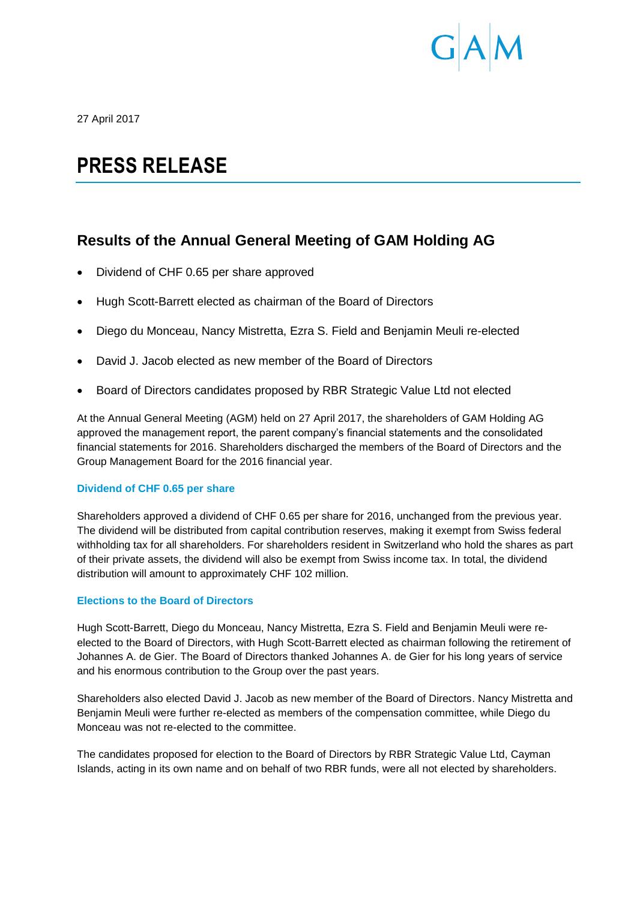

27 April 2017

# **PRESS RELEASE**

# **Results of the Annual General Meeting of GAM Holding AG**

- Dividend of CHF 0.65 per share approved
- Hugh Scott-Barrett elected as chairman of the Board of Directors
- Diego du Monceau, Nancy Mistretta, Ezra S. Field and Benjamin Meuli re-elected
- David J. Jacob elected as new member of the Board of Directors
- Board of Directors candidates proposed by RBR Strategic Value Ltd not elected

At the Annual General Meeting (AGM) held on 27 April 2017, the shareholders of GAM Holding AG approved the management report, the parent company's financial statements and the consolidated financial statements for 2016. Shareholders discharged the members of the Board of Directors and the Group Management Board for the 2016 financial year.

# **Dividend of CHF 0.65 per share**

Shareholders approved a dividend of CHF 0.65 per share for 2016, unchanged from the previous year. The dividend will be distributed from capital contribution reserves, making it exempt from Swiss federal withholding tax for all shareholders. For shareholders resident in Switzerland who hold the shares as part of their private assets, the dividend will also be exempt from Swiss income tax. In total, the dividend distribution will amount to approximately CHF 102 million.

# **Elections to the Board of Directors**

Hugh Scott-Barrett, Diego du Monceau, Nancy Mistretta, Ezra S. Field and Benjamin Meuli were reelected to the Board of Directors, with Hugh Scott-Barrett elected as chairman following the retirement of Johannes A. de Gier. The Board of Directors thanked Johannes A. de Gier for his long years of service and his enormous contribution to the Group over the past years.

Shareholders also elected David J. Jacob as new member of the Board of Directors. Nancy Mistretta and Benjamin Meuli were further re-elected as members of the compensation committee, while Diego du Monceau was not re-elected to the committee.

The candidates proposed for election to the Board of Directors by RBR Strategic Value Ltd, Cayman Islands, acting in its own name and on behalf of two RBR funds, were all not elected by shareholders.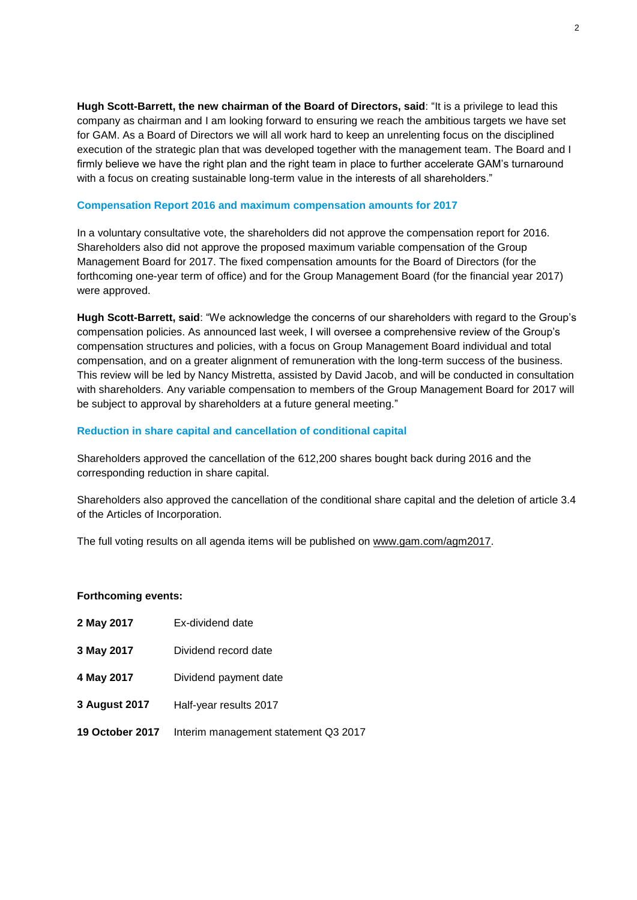**Hugh Scott-Barrett, the new chairman of the Board of Directors, said**: "It is a privilege to lead this company as chairman and I am looking forward to ensuring we reach the ambitious targets we have set for GAM. As a Board of Directors we will all work hard to keep an unrelenting focus on the disciplined execution of the strategic plan that was developed together with the management team. The Board and I firmly believe we have the right plan and the right team in place to further accelerate GAM's turnaround with a focus on creating sustainable long-term value in the interests of all shareholders."

### **Compensation Report 2016 and maximum compensation amounts for 2017**

In a voluntary consultative vote, the shareholders did not approve the compensation report for 2016. Shareholders also did not approve the proposed maximum variable compensation of the Group Management Board for 2017. The fixed compensation amounts for the Board of Directors (for the forthcoming one-year term of office) and for the Group Management Board (for the financial year 2017) were approved.

**Hugh Scott-Barrett, said**: "We acknowledge the concerns of our shareholders with regard to the Group's compensation policies. As announced last week, I will oversee a comprehensive review of the Group's compensation structures and policies, with a focus on Group Management Board individual and total compensation, and on a greater alignment of remuneration with the long-term success of the business. This review will be led by Nancy Mistretta, assisted by David Jacob, and will be conducted in consultation with shareholders. Any variable compensation to members of the Group Management Board for 2017 will be subject to approval by shareholders at a future general meeting."

# **Reduction in share capital and cancellation of conditional capital**

Shareholders approved the cancellation of the 612,200 shares bought back during 2016 and the corresponding reduction in share capital.

Shareholders also approved the cancellation of the conditional share capital and the deletion of article 3.4 of the Articles of Incorporation.

The full voting results on all agenda items will be published on [www.gam.com/agm2017](http://www.gam.com/agm2017).

#### **Forthcoming events:**

| 2 May 2017 | Ex-dividend date |
|------------|------------------|
|------------|------------------|

- **3 May 2017** Dividend record date
- **4 May 2017** Dividend payment date
- **3 August 2017** Half-year results 2017
- **19 October 2017** Interim management statement Q3 2017